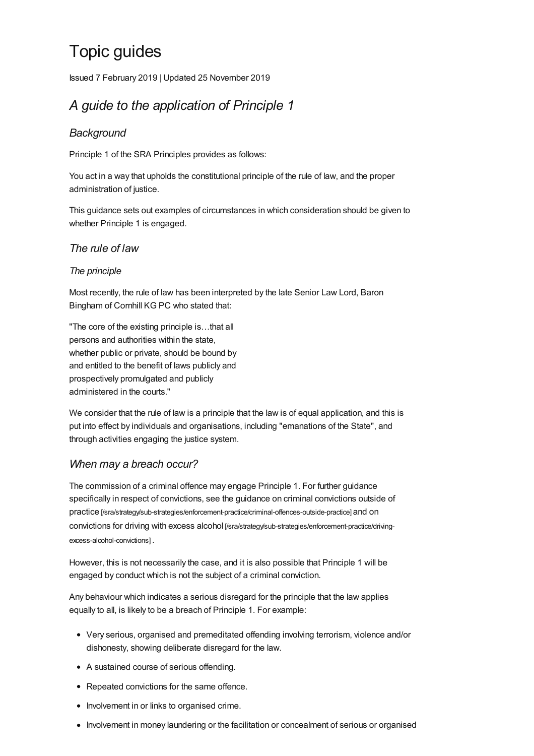# Topic guides

Issued 7 February 2019 |Updated 25 November 2019

# *A guide to the application of Principle 1*

# *Background*

Principle 1 of the SRA Principles provides as follows:

You act in a way that upholds the constitutional principle of the rule of law, and the proper administration of justice.

This guidance sets out examples of circumstances in which consideration should be given to whether Principle 1 is engaged.

## *The rule of law*

#### *The principle*

Most recently, the rule of law has been interpreted by the late Senior Law Lord, Baron Bingham of Cornhill KG PC who stated that:

"The core of the existing principle is…that all persons and authorities within the state, whether public or private, should be bound by and entitled to the benefit of laws publicly and prospectively promulgated and publicly administered in the courts."

We consider that the rule of law is a principle that the law is of equal application, and this is put into effect by individuals and organisations, including "emanations of the State", and through activities engaging the justice system.

## *When may a breach occur?*

The commission of a criminal offence may engage Principle 1. For further guidance specifically in respect of convictions, see the guidance on criminal convictions outside of practice [\[/sra/strategy/sub-strategies/enforcement-practice/criminal-offences-outside-practice\]](https://www.sra.org.uk/sra/strategy/sub-strategies/enforcement-practice/criminal-offences-outside-practice) and on convictions for driving with excess alcohol [\[/sra/strategy/sub-strategies/enforcement-practice/driving](https://www.sra.org.uk/sra/strategy/sub-strategies/enforcement-practice/driving-excess-alcohol-convictions)excess-alcohol-convictions] .

However, this is not necessarily the case, and it is also possible that Principle 1 will be engaged by conduct which is not the subject of a criminal conviction.

Any behaviour which indicates a serious disregard for the principle that the law applies equally to all, is likely to be a breach of Principle 1. For example:

- Very serious, organised and premeditated offending involving terrorism, violence and/or dishonesty, showing deliberate disregard for the law.
- A sustained course of serious offending.
- Repeated convictions for the same offence.
- Involvement in or links to organised crime.
- Involvement in money laundering or the facilitation or concealment of serious or organised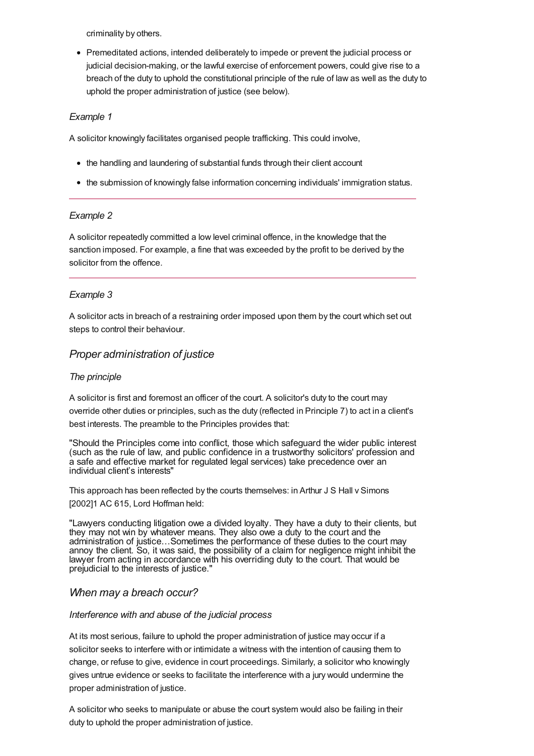criminality by others.

Premeditated actions, intended deliberately to impede or prevent the judicial process or judicial decision-making, or the lawful exercise of enforcement powers, could give rise to a breach of the duty to uphold the constitutional principle of the rule of law as well as the duty to uphold the proper administration of justice (see below).

#### *Example 1*

A solicitor knowingly facilitates organised people trafficking. This could involve,

- the handling and laundering of substantial funds through their client account
- the submission of knowingly false information concerning individuals' immigration status.

#### *Example 2*

A solicitor repeatedly committed a low level criminal offence, in the knowledge that the sanction imposed. For example, a fine that was exceeded by the profit to be derived by the solicitor from the offence.

#### *Example 3*

A solicitor acts in breach of a restraining order imposed upon them by the court which set out steps to control their behaviour.

#### *Proper administration of justice*

#### *The principle*

A solicitor is first and foremost an officer of the court. A solicitor's duty to the court may override other duties or principles, such as the duty (reflected in Principle 7) to act in a client's best interests. The preamble to the Principles provides that:

"Should the Principles come into conflict, those which safeguard the wider public interest (such as the rule of law, and public confidence in a trustworthy solicitors' profession and a safe and effective market for regulated legal services) take precedence over an individual client's interests"

This approach has been reflected by the courts themselves: in Arthur J S Hall v Simons [2002]1 AC 615, Lord Hoffman held:

"Lawyers conducting litigation owe a divided loyalty. They have a duty to their clients, but they may not win by whatever means. They also owe a duty to the court and the administration of justice…Sometimes the performance of these duties to the court may annoy the client. So, it was said, the possibility of a claim for negligence might inhibit the lawyer from acting in accordance with his overriding duty to the court. That would be prejudicial to the interests of justice."

#### *When may a breach occur?*

#### *Interference with and abuse of the judicial process*

At its most serious, failure to uphold the proper administration of justice may occur if a solicitor seeks to interfere with or intimidate a witness with the intention of causing them to change, or refuse to give, evidence in court proceedings. Similarly, a solicitor who knowingly gives untrue evidence or seeks to facilitate the interference with a jury would undermine the proper administration of justice.

A solicitor who seeks to manipulate or abuse the court system would also be failing in their duty to uphold the proper administration of justice.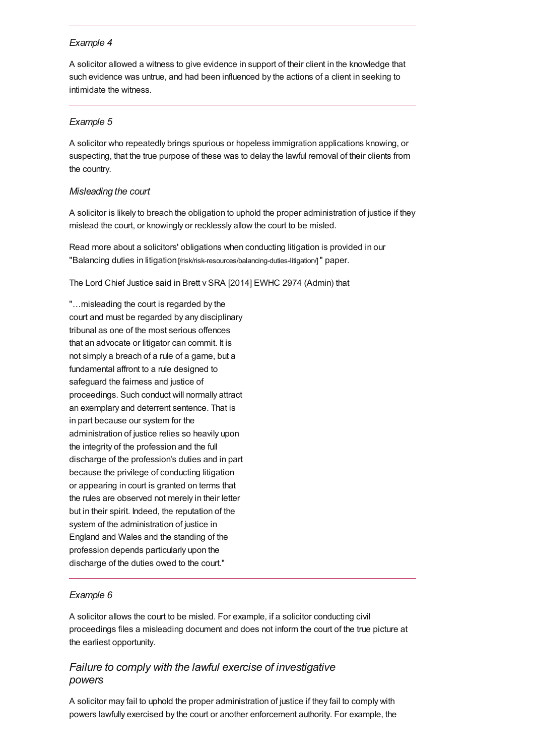#### *Example 4*

A solicitor allowed a witness to give evidence in support of their client in the knowledge that such evidence was untrue, and had been influenced by the actions of a client in seeking to intimidate the witness.

#### *Example 5*

A solicitor who repeatedly brings spurious or hopeless immigration applications knowing, or suspecting, that the true purpose of these was to delay the lawful removal of their clients from the country.

#### *Misleading the court*

A solicitor is likely to breach the obligation to uphold the proper administration of justice if they mislead the court, or knowingly or recklessly allow the court to be misled.

Read more about a solicitors' obligations when conducting litigation is provided in our "Balancing duties in litigation [\[/risk/risk-resources/balancing-duties-litigation/\]](https://www.sra.org.uk/risk/risk-resources/balancing-duties-litigation/)" paper.

The Lord Chief Justice said in Brett v SRA [2014] EWHC 2974 (Admin) that

"…misleading the court is regarded by the court and must be regarded by any disciplinary tribunal as one of the most serious offences that an advocate or litigator can commit. It is not simply a breach of a rule of a game, but a fundamental affront to a rule designed to safeguard the fairness and justice of proceedings. Such conduct will normally attract an exemplary and deterrent sentence. That is in part because our system for the administration of justice relies so heavily upon the integrity of the profession and the full discharge of the profession's duties and in part because the privilege of conducting litigation or appearing in court is granted on terms that the rules are observed not merely in their letter but in their spirit. Indeed, the reputation of the system of the administration of justice in England and Wales and the standing of the profession depends particularly upon the discharge of the duties owed to the court."

#### *Example 6*

A solicitor allows the court to be misled. For example, if a solicitor conducting civil proceedings files a misleading document and does not inform the court of the true picture at the earliest opportunity.

# *Failure to comply with the lawful exercise of investigative powers*

A solicitor may fail to uphold the proper administration of justice if they fail to comply with powers lawfully exercised by the court or another enforcement authority. For example, the